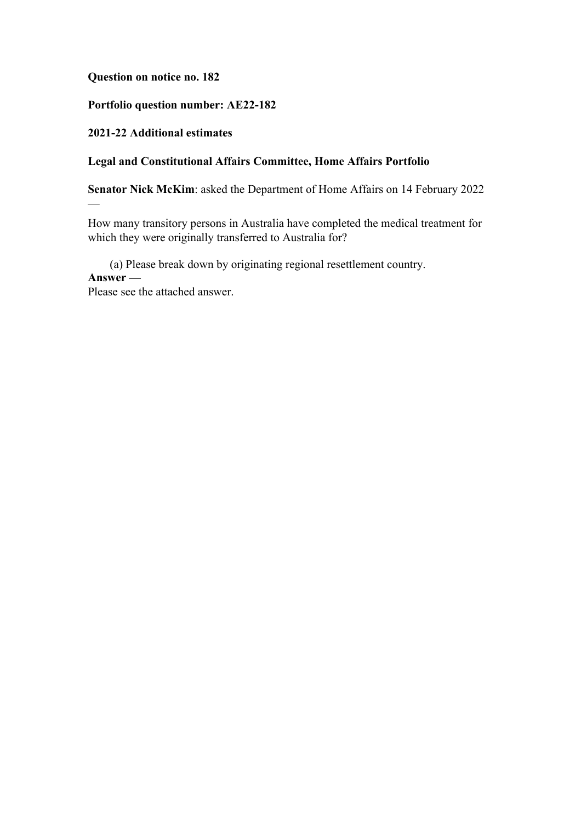**Question on notice no. 182**

## **Portfolio question number: AE22-182**

# **2021-22 Additional estimates**

—

# **Legal and Constitutional Affairs Committee, Home Affairs Portfolio**

**Senator Nick McKim**: asked the Department of Home Affairs on 14 February 2022

How many transitory persons in Australia have completed the medical treatment for which they were originally transferred to Australia for?

(a) Please break down by originating regional resettlement country. **Answer —**

Please see the attached answer.